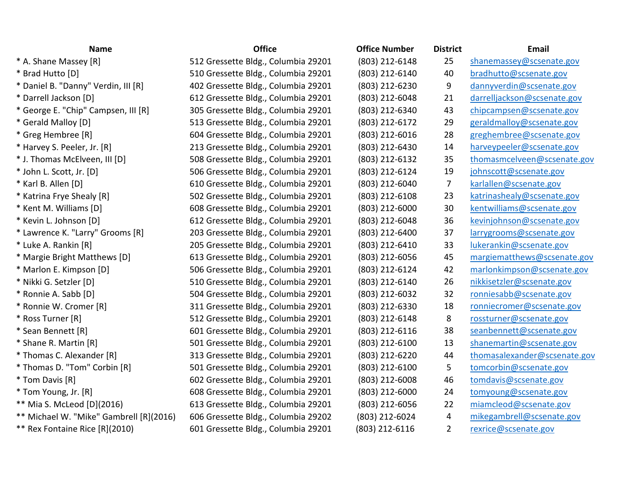| <b>Name</b>                             | <b>Office</b>                       | <b>Office Number</b> | <b>District</b> | Email                        |
|-----------------------------------------|-------------------------------------|----------------------|-----------------|------------------------------|
| * A. Shane Massey [R]                   | 512 Gressette Bldg., Columbia 29201 | (803) 212-6148       | 25              | shanemassey@scsenate.gov     |
| * Brad Hutto [D]                        | 510 Gressette Bldg., Columbia 29201 | (803) 212-6140       | 40              | bradhutto@scsenate.gov       |
| * Daniel B. "Danny" Verdin, III [R]     | 402 Gressette Bldg., Columbia 29201 | (803) 212-6230       | 9               | dannyverdin@scsenate.gov     |
| * Darrell Jackson [D]                   | 612 Gressette Bldg., Columbia 29201 | (803) 212-6048       | 21              | darrelljackson@scsenate.gov  |
| * George E. "Chip" Campsen, III [R]     | 305 Gressette Bldg., Columbia 29201 | (803) 212-6340       | 43              | chipcampsen@scsenate.gov     |
| * Gerald Malloy [D]                     | 513 Gressette Bldg., Columbia 29201 | (803) 212-6172       | 29              | geraldmalloy@scsenate.gov    |
| * Greg Hembree [R]                      | 604 Gressette Bldg., Columbia 29201 | (803) 212-6016       | 28              | greghembree@scsenate.gov     |
| * Harvey S. Peeler, Jr. [R]             | 213 Gressette Bldg., Columbia 29201 | (803) 212-6430       | 14              | harveypeeler@scsenate.gov    |
| * J. Thomas McElveen, III [D]           | 508 Gressette Bldg., Columbia 29201 | (803) 212-6132       | 35              | thomasmcelveen@scsenate.gov  |
| * John L. Scott, Jr. [D]                | 506 Gressette Bldg., Columbia 29201 | (803) 212-6124       | 19              | johnscott@scsenate.gov       |
| * Karl B. Allen [D]                     | 610 Gressette Bldg., Columbia 29201 | (803) 212-6040       | 7               | karlallen@scsenate.gov       |
| * Katrina Frye Shealy [R]               | 502 Gressette Bldg., Columbia 29201 | (803) 212-6108       | 23              | katrinashealy@scsenate.gov   |
| * Kent M. Williams [D]                  | 608 Gressette Bldg., Columbia 29201 | (803) 212-6000       | 30              | kentwilliams@scsenate.gov    |
| * Kevin L. Johnson [D]                  | 612 Gressette Bldg., Columbia 29201 | (803) 212-6048       | 36              | kevinjohnson@scsenate.gov    |
| * Lawrence K. "Larry" Grooms [R]        | 203 Gressette Bldg., Columbia 29201 | (803) 212-6400       | 37              | larrygrooms@scsenate.gov     |
| * Luke A. Rankin [R]                    | 205 Gressette Bldg., Columbia 29201 | (803) 212-6410       | 33              | lukerankin@scsenate.gov      |
| * Margie Bright Matthews [D]            | 613 Gressette Bldg., Columbia 29201 | (803) 212-6056       | 45              | margiematthews@scsenate.gov  |
| * Marlon E. Kimpson [D]                 | 506 Gressette Bldg., Columbia 29201 | (803) 212-6124       | 42              | marlonkimpson@scsenate.gov   |
| * Nikki G. Setzler [D]                  | 510 Gressette Bldg., Columbia 29201 | (803) 212-6140       | 26              | nikkisetzler@scsenate.gov    |
| * Ronnie A. Sabb [D]                    | 504 Gressette Bldg., Columbia 29201 | (803) 212-6032       | 32              | ronniesabb@scsenate.gov      |
| * Ronnie W. Cromer [R]                  | 311 Gressette Bldg., Columbia 29201 | (803) 212-6330       | 18              | ronniecromer@scsenate.gov    |
| * Ross Turner [R]                       | 512 Gressette Bldg., Columbia 29201 | (803) 212-6148       | 8               | rossturner@scsenate.gov      |
| * Sean Bennett [R]                      | 601 Gressette Bldg., Columbia 29201 | (803) 212-6116       | 38              | seanbennett@scsenate.gov     |
| * Shane R. Martin [R]                   | 501 Gressette Bldg., Columbia 29201 | (803) 212-6100       | 13              | shanemartin@scsenate.gov     |
| * Thomas C. Alexander [R]               | 313 Gressette Bldg., Columbia 29201 | (803) 212-6220       | 44              | thomasalexander@scsenate.gov |
| * Thomas D. "Tom" Corbin [R]            | 501 Gressette Bldg., Columbia 29201 | (803) 212-6100       | 5               | tomcorbin@scsenate.gov       |
| * Tom Davis [R]                         | 602 Gressette Bldg., Columbia 29201 | (803) 212-6008       | 46              | tomdavis@scsenate.gov        |
| * Tom Young, Jr. [R]                    | 608 Gressette Bldg., Columbia 29201 | (803) 212-6000       | 24              | tomyoung@scsenate.gov        |
| ** Mia S. McLeod [D](2016)              | 613 Gressette Bldg., Columbia 29201 | (803) 212-6056       | 22              | miamcleod@scsenate.gov       |
| ** Michael W. "Mike" Gambrell [R](2016) | 606 Gressette Bldg., Columbia 29202 | (803) 212-6024       | 4               | mikegambrell@scsenate.gov    |
| ** Rex Fontaine Rice [R](2010)          | 601 Gressette Bldg., Columbia 29201 | (803) 212-6116       | $\overline{2}$  | rexrice@scsenate.gov         |